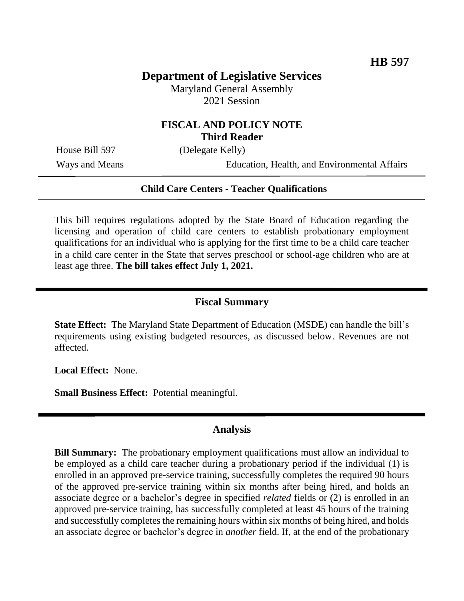# **Department of Legislative Services**

Maryland General Assembly 2021 Session

## **FISCAL AND POLICY NOTE Third Reader**

House Bill 597 (Delegate Kelly)

Ways and Means Education, Health, and Environmental Affairs

### **Child Care Centers - Teacher Qualifications**

This bill requires regulations adopted by the State Board of Education regarding the licensing and operation of child care centers to establish probationary employment qualifications for an individual who is applying for the first time to be a child care teacher in a child care center in the State that serves preschool or school-age children who are at least age three. **The bill takes effect July 1, 2021.**

### **Fiscal Summary**

**State Effect:** The Maryland State Department of Education (MSDE) can handle the bill's requirements using existing budgeted resources, as discussed below. Revenues are not affected.

**Local Effect:** None.

**Small Business Effect:** Potential meaningful.

### **Analysis**

**Bill Summary:** The probationary employment qualifications must allow an individual to be employed as a child care teacher during a probationary period if the individual (1) is enrolled in an approved pre-service training, successfully completes the required 90 hours of the approved pre-service training within six months after being hired, and holds an associate degree or a bachelor's degree in specified *related* fields or (2) is enrolled in an approved pre-service training, has successfully completed at least 45 hours of the training and successfully completes the remaining hours within six months of being hired, and holds an associate degree or bachelor's degree in *another* field. If, at the end of the probationary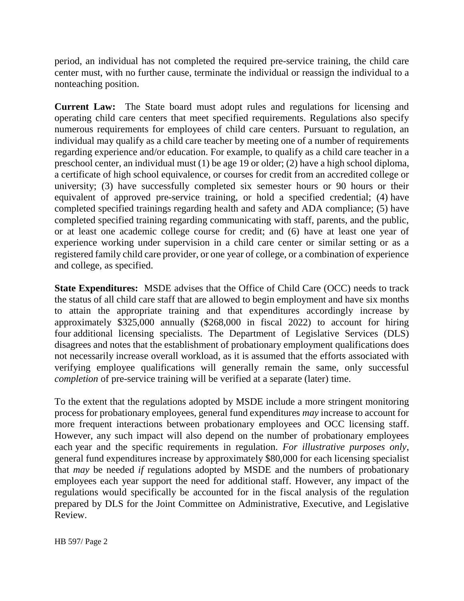period, an individual has not completed the required pre-service training, the child care center must, with no further cause, terminate the individual or reassign the individual to a nonteaching position.

**Current Law:** The State board must adopt rules and regulations for licensing and operating child care centers that meet specified requirements. Regulations also specify numerous requirements for employees of child care centers. Pursuant to regulation, an individual may qualify as a child care teacher by meeting one of a number of requirements regarding experience and/or education. For example, to qualify as a child care teacher in a preschool center, an individual must (1) be age 19 or older; (2) have a high school diploma, a certificate of high school equivalence, or courses for credit from an accredited college or university; (3) have successfully completed six semester hours or 90 hours or their equivalent of approved pre-service training, or hold a specified credential; (4) have completed specified trainings regarding health and safety and ADA compliance; (5) have completed specified training regarding communicating with staff, parents, and the public, or at least one academic college course for credit; and (6) have at least one year of experience working under supervision in a child care center or similar setting or as a registered family child care provider, or one year of college, or a combination of experience and college, as specified.

**State Expenditures:** MSDE advises that the Office of Child Care (OCC) needs to track the status of all child care staff that are allowed to begin employment and have six months to attain the appropriate training and that expenditures accordingly increase by approximately \$325,000 annually (\$268,000 in fiscal 2022) to account for hiring four additional licensing specialists. The Department of Legislative Services (DLS) disagrees and notes that the establishment of probationary employment qualifications does not necessarily increase overall workload, as it is assumed that the efforts associated with verifying employee qualifications will generally remain the same, only successful *completion* of pre-service training will be verified at a separate (later) time.

To the extent that the regulations adopted by MSDE include a more stringent monitoring process for probationary employees, general fund expenditures *may* increase to account for more frequent interactions between probationary employees and OCC licensing staff. However, any such impact will also depend on the number of probationary employees each year and the specific requirements in regulation. *For illustrative purposes only*, general fund expenditures increase by approximately \$80,000 for each licensing specialist that *may* be needed *if* regulations adopted by MSDE and the numbers of probationary employees each year support the need for additional staff. However, any impact of the regulations would specifically be accounted for in the fiscal analysis of the regulation prepared by DLS for the Joint Committee on Administrative, Executive, and Legislative Review.